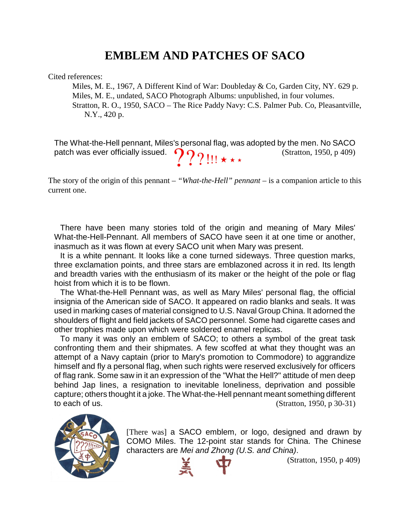## **EMBLEM AND PATCHES OF SACO**

Cited references:

Miles, M. E., 1967, A Different Kind of War: Doubleday & Co, Garden City, NY. 629 p. Miles, M. E., undated, SACO Photograph Albums: unpublished, in four volumes. Stratton, R. O., 1950, SACO – The Rice Paddy Navy: C.S. Palmer Pub. Co, Pleasantville, N.Y., 420 p.

The What-the-Hell pennant, Miles's personal flag, was adopted by the men. No SACO patch was ever officially issued.  $\{P\}$   $\{$   $\}$   $\{$   $\}$   $\star$   $\star$   $\star$  (Stratton, 1950, p 409)

The story of the origin of this pennant – *"What-the-Hell" pennant* – is a companion article to this current one.

There have been many stories told of the origin and meaning of Mary Miles' What-the-Hell-Pennant. All members of SACO have seen it at one time or another, inasmuch as it was flown at every SACO unit when Mary was present.

It is a white pennant. It looks like a cone turned sideways. Three question marks, three exclamation points, and three stars are emblazoned across it in red. Its length and breadth varies with the enthusiasm of its maker or the height of the pole or flag hoist from which it is to be flown.

The What-the-Hell Pennant was, as well as Mary Miles' personal flag, the official insignia of the American side of SACO. It appeared on radio blanks and seals. It was used in marking cases of material consigned to U.S. Naval Group China. It adorned the shoulders of flight and field jackets of SACO personnel. Some had cigarette cases and other trophies made upon which were soldered enamel replicas.

To many it was only an emblem of SACO; to others a symbol of the great task confronting them and their shipmates. A few scoffed at what they thought was an attempt of a Navy captain (prior to Mary's promotion to Commodore) to aggrandize himself and fly a personal flag, when such rights were reserved exclusively for officers of flag rank. Some saw in it an expression of the "What the Hell?" attitude of men deep behind Jap lines, a resignation to inevitable loneliness, deprivation and possible capture; others thought it a joke. The What-the-Hell pennant meant something different to each of us.  $(Stration, 1950, p 30-31)$ 



[There was] a SACO emblem, or logo, designed and drawn by COMO Miles. The 12-point star stands for China. The Chinese characters are *Mei and Zhong (U.S. and China)*.

(Stratton, 1950, p 409)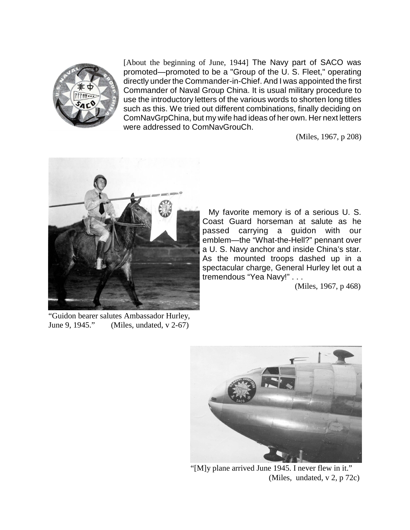

[About the beginning of June, 1944] The Navy part of SACO was promoted—promoted to be a "Group of the U. S. Fleet," operating directly under the Commander-in-Chief. And I was appointed the first Commander of Naval Group China. It is usual military procedure to use the introductory letters of the various words to shorten long titles such as this. We tried out different combinations, finally deciding on ComNavGrpChina, but my wife had ideas of her own. Her next letters were addressed to ComNavGrouCh.

(Miles, 1967, p 208)



My favorite memory is of a serious U. S. Coast Guard horseman at salute as he passed carrying a guidon with our emblem—the "What-the-Hell?" pennant over a U. S. Navy anchor and inside China's star. As the mounted troops dashed up in a spectacular charge, General Hurley let out a tremendous "Yea Navy!" . . .

(Miles, 1967, p 468)

"Guidon bearer salutes Ambassador Hurley,<br>June 9. 1945." (Miles, undated, v 2-67)  $(Miles, undated, v 2-67)$ 



"[M]y plane arrived June 1945. I never flew in it." (Miles, undated, v 2, p 72c)